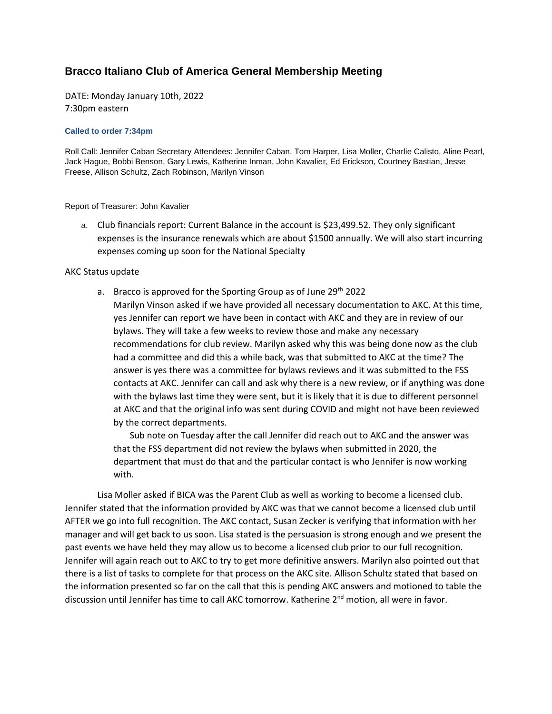## **Bracco Italiano Club of America General Membership Meeting**

DATE: Monday January 10th, 2022 7:30pm eastern

## **Called to order 7:34pm**

Roll Call: Jennifer Caban Secretary Attendees: Jennifer Caban. Tom Harper, Lisa Moller, Charlie Calisto, Aline Pearl, Jack Hague, Bobbi Benson, Gary Lewis, Katherine Inman, John Kavalier, Ed Erickson, Courtney Bastian, Jesse Freese, Allison Schultz, Zach Robinson, Marilyn Vinson

Report of Treasurer: John Kavalier

a. Club financials report: Current Balance in the account is \$23,499.52. They only significant expenses is the insurance renewals which are about \$1500 annually. We will also start incurring expenses coming up soon for the National Specialty

## AKC Status update

a. Bracco is approved for the Sporting Group as of June  $29<sup>th</sup>$  2022 Marilyn Vinson asked if we have provided all necessary documentation to AKC. At this time, yes Jennifer can report we have been in contact with AKC and they are in review of our bylaws. They will take a few weeks to review those and make any necessary recommendations for club review. Marilyn asked why this was being done now as the club had a committee and did this a while back, was that submitted to AKC at the time? The answer is yes there was a committee for bylaws reviews and it was submitted to the FSS contacts at AKC. Jennifer can call and ask why there is a new review, or if anything was done with the bylaws last time they were sent, but it is likely that it is due to different personnel at AKC and that the original info was sent during COVID and might not have been reviewed by the correct departments.

Sub note on Tuesday after the call Jennifer did reach out to AKC and the answer was that the FSS department did not review the bylaws when submitted in 2020, the department that must do that and the particular contact is who Jennifer is now working with.

Lisa Moller asked if BICA was the Parent Club as well as working to become a licensed club. Jennifer stated that the information provided by AKC was that we cannot become a licensed club until AFTER we go into full recognition. The AKC contact, Susan Zecker is verifying that information with her manager and will get back to us soon. Lisa stated is the persuasion is strong enough and we present the past events we have held they may allow us to become a licensed club prior to our full recognition. Jennifer will again reach out to AKC to try to get more definitive answers. Marilyn also pointed out that there is a list of tasks to complete for that process on the AKC site. Allison Schultz stated that based on the information presented so far on the call that this is pending AKC answers and motioned to table the discussion until Jennifer has time to call AKC tomorrow. Katherine 2<sup>nd</sup> motion, all were in favor.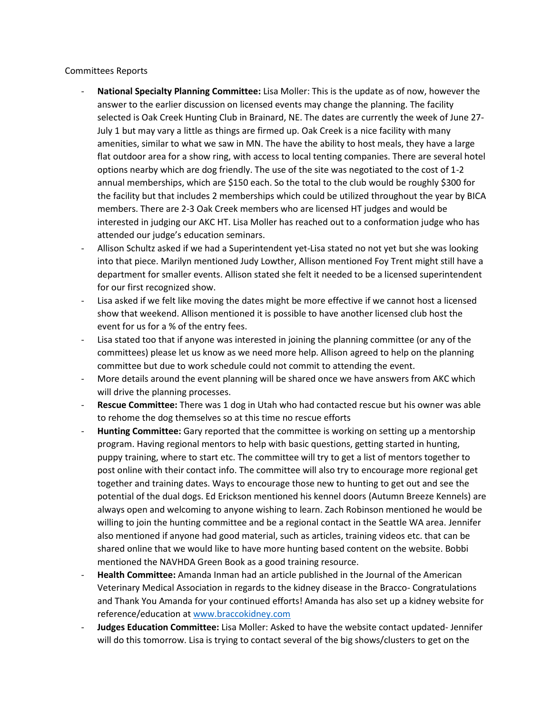## Committees Reports

- **National Specialty Planning Committee:** Lisa Moller: This is the update as of now, however the answer to the earlier discussion on licensed events may change the planning. The facility selected is Oak Creek Hunting Club in Brainard, NE. The dates are currently the week of June 27- July 1 but may vary a little as things are firmed up. Oak Creek is a nice facility with many amenities, similar to what we saw in MN. The have the ability to host meals, they have a large flat outdoor area for a show ring, with access to local tenting companies. There are several hotel options nearby which are dog friendly. The use of the site was negotiated to the cost of 1-2 annual memberships, which are \$150 each. So the total to the club would be roughly \$300 for the facility but that includes 2 memberships which could be utilized throughout the year by BICA members. There are 2-3 Oak Creek members who are licensed HT judges and would be interested in judging our AKC HT. Lisa Moller has reached out to a conformation judge who has attended our judge's education seminars.
- Allison Schultz asked if we had a Superintendent yet-Lisa stated no not yet but she was looking into that piece. Marilyn mentioned Judy Lowther, Allison mentioned Foy Trent might still have a department for smaller events. Allison stated she felt it needed to be a licensed superintendent for our first recognized show.
- Lisa asked if we felt like moving the dates might be more effective if we cannot host a licensed show that weekend. Allison mentioned it is possible to have another licensed club host the event for us for a % of the entry fees.
- Lisa stated too that if anyone was interested in joining the planning committee (or any of the committees) please let us know as we need more help. Allison agreed to help on the planning committee but due to work schedule could not commit to attending the event.
- More details around the event planning will be shared once we have answers from AKC which will drive the planning processes.
- **Rescue Committee:** There was 1 dog in Utah who had contacted rescue but his owner was able to rehome the dog themselves so at this time no rescue efforts
- **Hunting Committee:** Gary reported that the committee is working on setting up a mentorship program. Having regional mentors to help with basic questions, getting started in hunting, puppy training, where to start etc. The committee will try to get a list of mentors together to post online with their contact info. The committee will also try to encourage more regional get together and training dates. Ways to encourage those new to hunting to get out and see the potential of the dual dogs. Ed Erickson mentioned his kennel doors (Autumn Breeze Kennels) are always open and welcoming to anyone wishing to learn. Zach Robinson mentioned he would be willing to join the hunting committee and be a regional contact in the Seattle WA area. Jennifer also mentioned if anyone had good material, such as articles, training videos etc. that can be shared online that we would like to have more hunting based content on the website. Bobbi mentioned the NAVHDA Green Book as a good training resource.
- **Health Committee:** Amanda Inman had an article published in the Journal of the American Veterinary Medical Association in regards to the kidney disease in the Bracco- Congratulations and Thank You Amanda for your continued efforts! Amanda has also set up a kidney website for reference/education at [www.braccokidney.com](http://www.braccokidney.com/)
- **Judges Education Committee:** Lisa Moller: Asked to have the website contact updated- Jennifer will do this tomorrow. Lisa is trying to contact several of the big shows/clusters to get on the